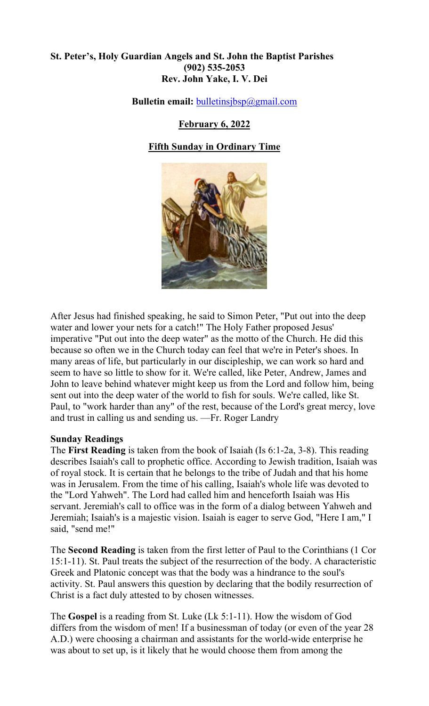## **St. Peter's, Holy Guardian Angels and St. John the Baptist Parishes (902) 535-2053 Rev. John Yake, I. V. Dei**

**Bulletin email:** [bulletinsjbsp@gmail.com](mailto:bulletinsjbsp@gmail.com)

## **February 6, 2022**

# **Fifth Sunday in Ordinary Time**



After Jesus had finished speaking, he said to Simon Peter, "Put out into the deep water and lower your nets for a catch!" The Holy Father proposed Jesus' imperative "Put out into the deep water" as the motto of the Church. He did this because so often we in the Church today can feel that we're in Peter's shoes. In many areas of life, but particularly in our discipleship, we can work so hard and seem to have so little to show for it. We're called, like Peter, Andrew, James and John to leave behind whatever might keep us from the Lord and follow him, being sent out into the deep water of the world to fish for souls. We're called, like St. Paul, to "work harder than any" of the rest, because of the Lord's great mercy, love and trust in calling us and sending us. —Fr. Roger Landry

## **Sunday Readings**

The **First Reading** is taken from the book of Isaiah (Is 6:1-2a, 3-8). This reading describes Isaiah's call to prophetic office. According to Jewish tradition, Isaiah was of royal stock. It is certain that he belongs to the tribe of Judah and that his home was in Jerusalem. From the time of his calling, Isaiah's whole life was devoted to the "Lord Yahweh". The Lord had called him and henceforth Isaiah was His servant. Jeremiah's call to office was in the form of a dialog between Yahweh and Jeremiah; Isaiah's is a majestic vision. Isaiah is eager to serve God, "Here I am," I said, "send me!"

The **Second Reading** is taken from the first letter of Paul to the Corinthians (1 Cor 15:1-11). St. Paul treats the subject of the resurrection of the body. A characteristic Greek and Platonic concept was that the body was a hindrance to the soul's activity. St. Paul answers this question by declaring that the bodily resurrection of Christ is a fact duly attested to by chosen witnesses.

The **Gospel** is a reading from St. Luke (Lk 5:1-11). How the wisdom of God differs from the wisdom of men! If a businessman of today (or even of the year 28 A.D.) were choosing a chairman and assistants for the world-wide enterprise he was about to set up, is it likely that he would choose them from among the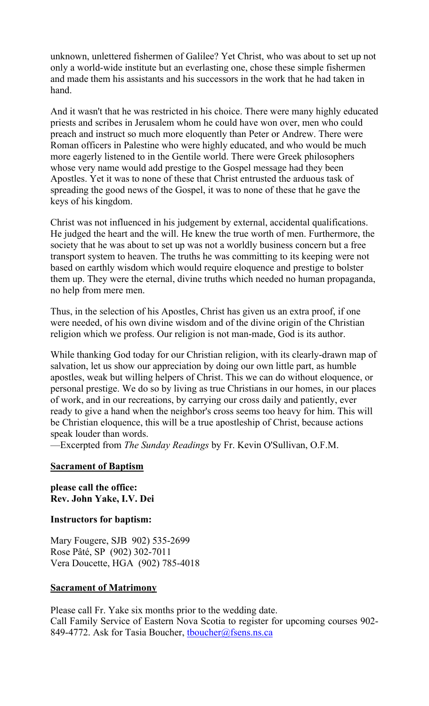unknown, unlettered fishermen of Galilee? Yet Christ, who was about to set up not only a world-wide institute but an everlasting one, chose these simple fishermen and made them his assistants and his successors in the work that he had taken in hand.

And it wasn't that he was restricted in his choice. There were many highly educated priests and scribes in Jerusalem whom he could have won over, men who could preach and instruct so much more eloquently than Peter or Andrew. There were Roman officers in Palestine who were highly educated, and who would be much more eagerly listened to in the Gentile world. There were Greek philosophers whose very name would add prestige to the Gospel message had they been Apostles. Yet it was to none of these that Christ entrusted the arduous task of spreading the good news of the Gospel, it was to none of these that he gave the keys of his kingdom.

Christ was not influenced in his judgement by external, accidental qualifications. He judged the heart and the will. He knew the true worth of men. Furthermore, the society that he was about to set up was not a worldly business concern but a free transport system to heaven. The truths he was committing to its keeping were not based on earthly wisdom which would require eloquence and prestige to bolster them up. They were the eternal, divine truths which needed no human propaganda, no help from mere men.

Thus, in the selection of his Apostles, Christ has given us an extra proof, if one were needed, of his own divine wisdom and of the divine origin of the Christian religion which we profess. Our religion is not man-made, God is its author.

While thanking God today for our Christian religion, with its clearly-drawn map of salvation, let us show our appreciation by doing our own little part, as humble apostles, weak but willing helpers of Christ. This we can do without eloquence, or personal prestige. We do so by living as true Christians in our homes, in our places of work, and in our recreations, by carrying our cross daily and patiently, ever ready to give a hand when the neighbor's cross seems too heavy for him. This will be Christian eloquence, this will be a true apostleship of Christ, because actions speak louder than words.

—Excerpted from *The Sunday Readings* by Fr. Kevin O'Sullivan, O.F.M.

## **Sacrament of Baptism**

**please call the office: Rev. John Yake, I.V. Dei** 

#### **Instructors for baptism:**

Mary Fougere, SJB 902) 535-2699 Rose Pâté, SP (902) 302-7011 Vera Doucette, HGA (902) 785-4018

#### **Sacrament of Matrimony**

Please call Fr. Yake six months prior to the wedding date. Call Family Service of Eastern Nova Scotia to register for upcoming courses 902- 849-4772. Ask for Tasia Boucher, thoucher@fsens.ns.ca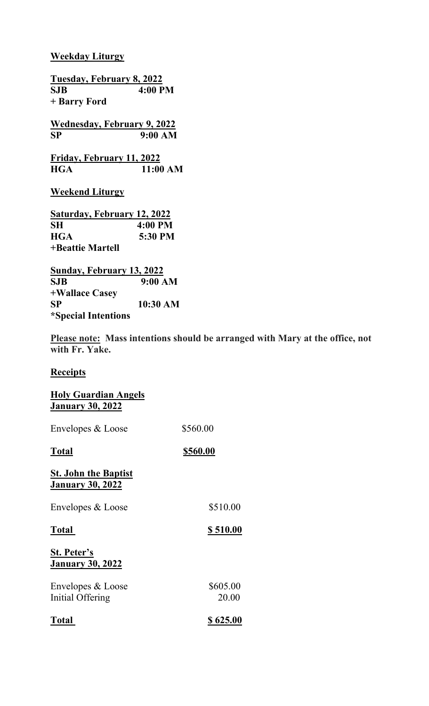## **Weekday Liturgy**

**Tuesday, February 8, 2022 SJB 4:00 PM + Barry Ford Wednesday, February 9, 2022 SP 9:00 AM Friday, February 11, 2022 HGA 11:00 AM Weekend Liturgy Saturday, February 12, 2022 HGA 5:30 PM**

**SH 4:00 PM +Beattie Martell**

**Sunday, February 13, 2022 SJB 9:00 AM +Wallace Casey SP 10:30 AM \*Special Intentions**

**Please note: Mass intentions should be arranged with Mary at the office, not with Fr. Yake.** 

## **Receipts**

| <b>Holy Guardian Angels</b><br><b>January 30, 2022</b> |                   |
|--------------------------------------------------------|-------------------|
| Envelopes & Loose                                      | \$560.00          |
| <b>Total</b>                                           | \$560.00          |
| <b>St. John the Baptist</b><br><b>January 30, 2022</b> |                   |
| Envelopes & Loose                                      | \$510.00          |
| <b>Total</b>                                           | \$510.00          |
| <b>St. Peter's</b><br><b>January 30, 2022</b>          |                   |
| Envelopes & Loose<br>Initial Offering                  | \$605.00<br>20.00 |
| <b>Total</b>                                           | \$625.00          |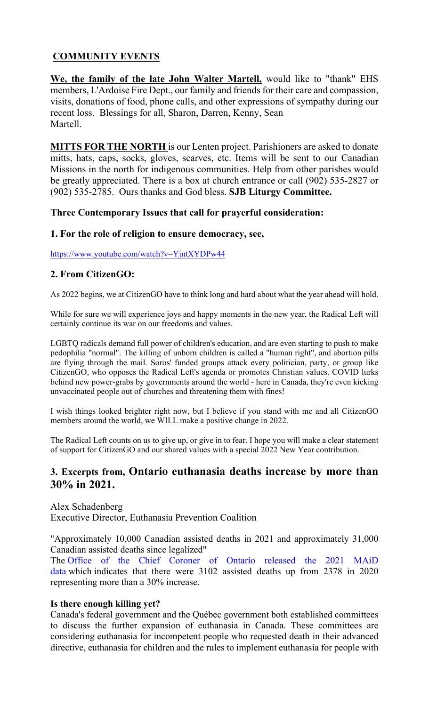# **COMMUNITY EVENTS**

**We, the family of the late John Walter Martell,** would like to "thank" EHS members, L'Ardoise Fire Dept., our family and friends for their care and compassion, visits, donations of food, phone calls, and other expressions of sympathy during our recent loss. Blessings for all, Sharon, Darren, Kenny, Sean Martell.

**MITTS FOR THE NORTH** is our Lenten project. Parishioners are asked to donate mitts, hats, caps, socks, gloves, scarves, etc. Items will be sent to our Canadian Missions in the north for indigenous communities. Help from other parishes would be greatly appreciated. There is a box at church entrance or call (902) 535-2827 or (902) 535-2785. Ours thanks and God bless. **SJB Liturgy Committee.**

## **Three Contemporary Issues that call for prayerful consideration:**

## **1. For the role of religion to ensure democracy, see,**

<https://www.youtube.com/watch?v=YjntXYDPw44>

## **2. From CitizenGO:**

As 2022 begins, we at CitizenGO have to think long and hard about what the year ahead will hold.

While for sure we will experience joys and happy moments in the new year, the Radical Left will certainly continue its war on our freedoms and values.

LGBTQ radicals demand full power of children's education, and are even starting to push to make pedophilia "normal". The killing of unborn children is called a "human right", and abortion pills are flying through the mail. Soros' funded groups attack every politician, party, or group like CitizenGO, who opposes the Radical Left's agenda or promotes Christian values. COVID lurks behind new power-grabs by governments around the world - here in Canada, they're even kicking unvaccinated people out of churches and threatening them with fines!

I wish things looked brighter right now, but I believe if you stand with me and all CitizenGO members around the world, we WILL make a positive change in 2022.

The Radical Left counts on us to give up, or give in to fear. I hope you will make a clear statement of support for CitizenGO and our shared values with a special 2022 New Year contribution.

# **3. Excerpts from, Ontario euthanasia deaths increase by more than 30% in 2021.**

Alex Schadenberg Executive Director, Euthanasia Prevention Coalition

"Approximately 10,000 Canadian assisted deaths in 2021 and approximately 31,000 Canadian assisted deaths since legalized"

The [Office of the Chief Coroner of Ontario released the 2021 MAiD](https://drive.google.com/file/d/1D-LGs-1hS87QG6x1gjYwOHYyXRgr7xK_/view)  [data](https://drive.google.com/file/d/1D-LGs-1hS87QG6x1gjYwOHYyXRgr7xK_/view) which indicates that there were 3102 assisted deaths up from 2378 in 2020 representing more than a 30% increase.

## **Is there enough killing yet?**

Canada's federal government and the Québec government both established committees to discuss the further expansion of euthanasia in Canada. These committees are considering euthanasia for incompetent people who requested death in their advanced directive, euthanasia for children and the rules to implement euthanasia for people with